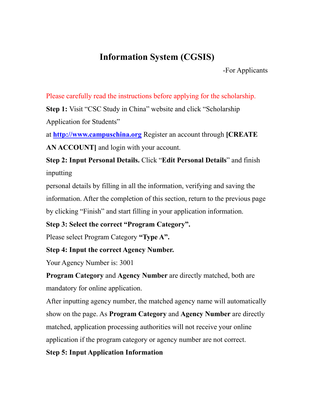## **Information System (CGSIS)**

-For Applicants

Please carefully read the instructions before applying for the scholarship.

**Step 1:** Visit "CSC Study in China" website and click "Scholarship"

Application for Students"

at **<http://www.campuschina.org>** Register an account through **[CREATE**

**AN ACCOUNT]** and login with your account.

**Step 2: Input Personal Details.** Click "**Edit Personal Details**" and finish inputting

personal details by filling in all the information, verifying and saving the information. After the completion of this section, return to the previous page by clicking "Finish" and start filling in your application information.

**Step 3: Select the correct "Program Category".**

Please select Program Category **"Type A".**

## **Step 4: Input the correct Agency Number.**

Your Agency Number is: 3001

**Program Category** and **Agency Number** are directly matched, both are mandatory for online application.

After inputting agency number, the matched agency name will automatically show on the page. As **Program Category** and **Agency Number** are directly matched, application processing authorities will not receive youronline application if the program category or agency number are not correct.

## **Step 5: Input Application Information**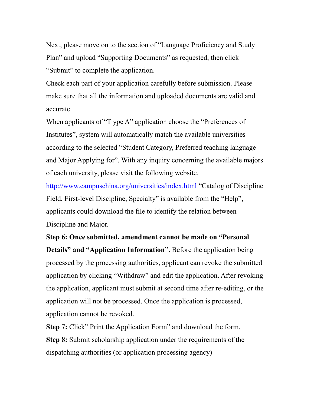Next, please move on to the section of "Language Proficiency and Study Plan" and upload "Supporting Documents" as requested, then click "Submit" to complete the application.

Check each part of your application carefully before submission. Please make sure that all the information and uploaded documents are valid and accurate.

When applicants of "T ype A" application choose the "Preferences of Institutes", system will automatically match the available universities according to the selected "Student Category, Preferred teaching language and Major Applying for". With any inquiry concerning the available majors of each university, please visit the following website.

<http://www.campuschina.org/universities/index.html> "Catalog of Discipline Field, First-level Discipline, Specialty" is available from the "Help", applicants could download the file to identify the relation between Discipline and Major.

**Step 6: Once submitted, amendment cannot be made on "Personal Details" and "Application Information".** Before the application being processed by the processing authorities, applicant can revoke the submitted application by clicking "Withdraw" and edit the application. After revoking the application, applicant must submit at second time afterre-editing, or the application will not be processed. Once the application is processed, application cannot be revoked.

**Step 7:** Click" Print the Application Form" and download the form. **Step 8:** Submit scholarship application under the requirements of the dispatching authorities (or application processing agency)